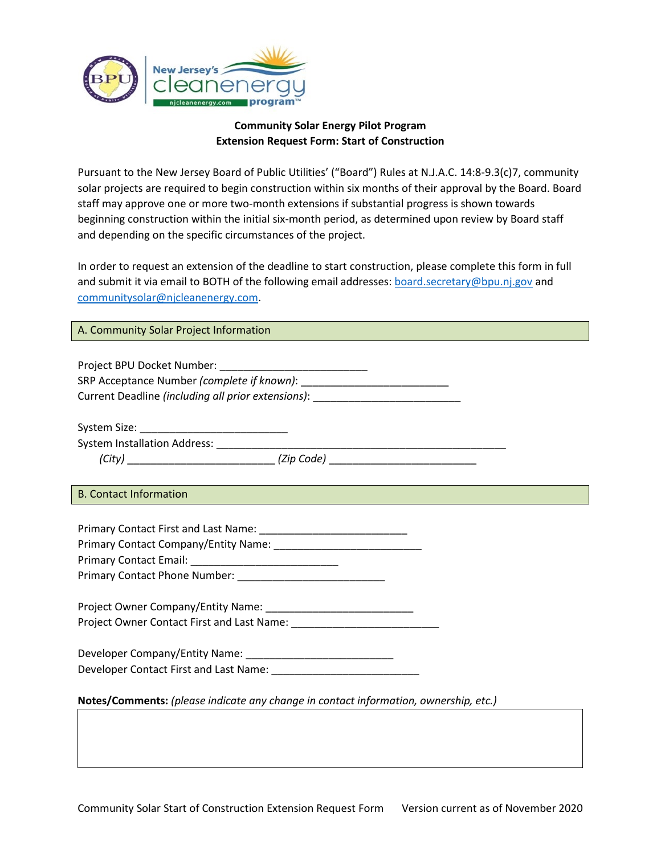

## **Community Solar Energy Pilot Program Extension Request Form: Start of Construction**

Pursuant to the New Jersey Board of Public Utilities' ("Board") Rules at N.J.A.C. 14:8-9.3(c)7, community solar projects are required to begin construction within six months of their approval by the Board. Board staff may approve one or more two-month extensions if substantial progress is shown towards beginning construction within the initial six-month period, as determined upon review by Board staff and depending on the specific circumstances of the project.

In order to request an extension of the deadline to start construction, please complete this form in full and submit it via email to BOTH of the following email addresses[: board.secretary@bpu.nj.gov](mailto:board.secretary@bpu.nj.gov) and [communitysolar@njcleanenergy.com.](mailto:communitysolar@njcleanenergy.com)

### A. Community Solar Project Information

| Current Deadline (including all prior extensions): _____________________________     |  |  |  |  |
|--------------------------------------------------------------------------------------|--|--|--|--|
|                                                                                      |  |  |  |  |
|                                                                                      |  |  |  |  |
|                                                                                      |  |  |  |  |
|                                                                                      |  |  |  |  |
|                                                                                      |  |  |  |  |
| <b>B. Contact Information</b>                                                        |  |  |  |  |
|                                                                                      |  |  |  |  |
|                                                                                      |  |  |  |  |
|                                                                                      |  |  |  |  |
|                                                                                      |  |  |  |  |
|                                                                                      |  |  |  |  |
|                                                                                      |  |  |  |  |
|                                                                                      |  |  |  |  |
|                                                                                      |  |  |  |  |
|                                                                                      |  |  |  |  |
|                                                                                      |  |  |  |  |
|                                                                                      |  |  |  |  |
|                                                                                      |  |  |  |  |
| Notes/Comments: (please indicate any change in contact information, ownership, etc.) |  |  |  |  |
|                                                                                      |  |  |  |  |
|                                                                                      |  |  |  |  |
|                                                                                      |  |  |  |  |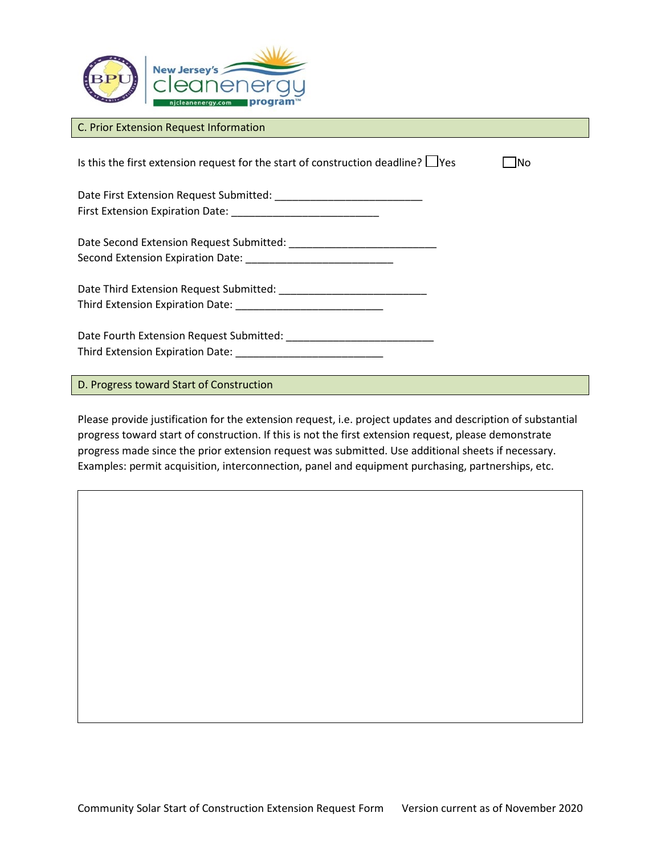

#### C. Prior Extension Request Information

Is this the first extension request for the start of construction deadline?  $\Box$ Yes  $\Box$ No Date First Extension Request Submitted: \_\_\_\_\_\_\_\_\_\_\_\_\_\_\_\_\_\_\_\_\_\_\_\_\_ First Extension Expiration Date: \_\_\_\_\_\_\_\_\_\_\_\_\_\_\_\_\_\_\_\_\_\_\_\_\_ Date Second Extension Request Submitted: \_\_\_\_\_\_\_\_\_\_\_\_\_\_\_\_\_\_\_\_\_\_\_\_\_ Second Extension Expiration Date: \_\_\_\_\_\_\_\_\_\_\_\_\_\_\_\_\_\_\_\_\_\_\_\_\_ Date Third Extension Request Submitted: \_\_\_\_\_\_\_\_\_\_\_\_\_\_\_\_\_\_\_\_\_\_\_\_\_ Third Extension Expiration Date: Date Fourth Extension Request Submitted: \_\_\_\_\_\_\_\_\_\_\_\_\_\_\_\_\_\_\_\_\_\_\_\_\_ Third Extension Expiration Date:

D. Progress toward Start of Construction

Please provide justification for the extension request, i.e. project updates and description of substantial progress toward start of construction. If this is not the first extension request, please demonstrate progress made since the prior extension request was submitted. Use additional sheets if necessary. Examples: permit acquisition, interconnection, panel and equipment purchasing, partnerships, etc.